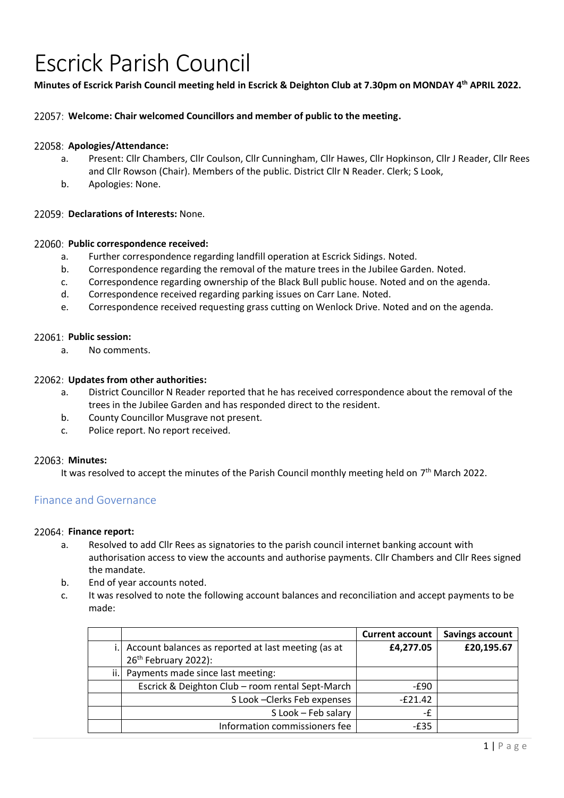# Escrick Parish Council

**Minutes of Escrick Parish Council meeting held in Escrick & Deighton Club at 7.30pm on MONDAY 4 th APRIL 2022.** 

# **Welcome: Chair welcomed Councillors and member of public to the meeting.**

## **Apologies/Attendance:**

- a. Present: Cllr Chambers, Cllr Coulson, Cllr Cunningham, Cllr Hawes, Cllr Hopkinson, Cllr J Reader, Cllr Rees and Cllr Rowson (Chair). Members of the public. District Cllr N Reader. Clerk; S Look,
- b. Apologies: None.

## **Declarations of Interests:** None.

## **Public correspondence received:**

- a. Further correspondence regarding landfill operation at Escrick Sidings. Noted.
- b. Correspondence regarding the removal of the mature trees in the Jubilee Garden. Noted.
- c. Correspondence regarding ownership of the Black Bull public house. Noted and on the agenda.
- d. Correspondence received regarding parking issues on Carr Lane. Noted.
- e. Correspondence received requesting grass cutting on Wenlock Drive. Noted and on the agenda.

## **Public session:**

a. No comments.

## **Updates from other authorities:**

- a. District Councillor N Reader reported that he has received correspondence about the removal of the trees in the Jubilee Garden and has responded direct to the resident.
- b. County Councillor Musgrave not present.
- c. Police report. No report received.

## **Minutes:**

It was resolved to accept the minutes of the Parish Council monthly meeting held on  $7<sup>th</sup>$  March 2022.

# Finance and Governance

## 22064: Finance report:

- a. Resolved to add Cllr Rees as signatories to the parish council internet banking account with authorisation access to view the accounts and authorise payments. Cllr Chambers and Cllr Rees signed the mandate.
- b. End of year accounts noted.
- c. It was resolved to note the following account balances and reconciliation and accept payments to be made:

|     |                                                        | <b>Current account</b> | <b>Savings account</b> |
|-----|--------------------------------------------------------|------------------------|------------------------|
|     | i. Account balances as reported at last meeting (as at | £4,277.05              | £20,195.67             |
|     | 26 <sup>th</sup> February 2022):                       |                        |                        |
| ii. | Payments made since last meeting:                      |                        |                        |
|     | Escrick & Deighton Club - room rental Sept-March       | -£90                   |                        |
|     | S Look - Clerks Feb expenses                           | $-E21.42$              |                        |
|     | S Look - Feb salary                                    | -£                     |                        |
|     | Information commissioners fee                          | $-E35$                 |                        |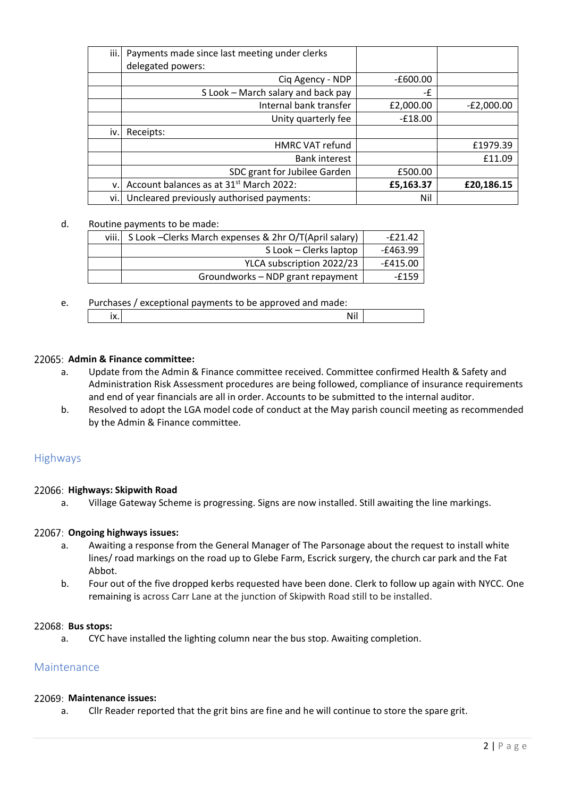| iii. | Payments made since last meeting under clerks<br>delegated powers: |            |              |
|------|--------------------------------------------------------------------|------------|--------------|
|      | Ciq Agency - NDP                                                   | $-£600.00$ |              |
|      | S Look - March salary and back pay                                 | -£         |              |
|      | Internal bank transfer                                             | £2,000.00  | $-E2,000.00$ |
|      | Unity quarterly fee                                                | $-£18.00$  |              |
| iv.  | Receipts:                                                          |            |              |
|      | <b>HMRC VAT refund</b>                                             |            | £1979.39     |
|      | <b>Bank interest</b>                                               |            | £11.09       |
|      | SDC grant for Jubilee Garden                                       | £500.00    |              |
| v.   | Account balances as at 31 <sup>st</sup> March 2022:                | £5,163.37  | £20,186.15   |
| vi.  | Uncleared previously authorised payments:                          | Nil        |              |

### d. Routine payments to be made:

| viii.l | S Look - Clerks March expenses & 2hr O/T(April salary) | $-E21.42$  |
|--------|--------------------------------------------------------|------------|
|        | S Look – Clerks laptop                                 | $-E463.99$ |
|        | YLCA subscription 2022/23                              | $-£415.00$ |
|        | Groundworks - NDP grant repayment                      | -£159      |

# e. Purchases / exceptional payments to be approved and made: ix.  $\vert$

## **Admin & Finance committee:**

- a. Update from the Admin & Finance committee received. Committee confirmed Health & Safety and Administration Risk Assessment procedures are being followed, compliance of insurance requirements and end of year financials are all in order. Accounts to be submitted to the internal auditor.
- b. Resolved to adopt the LGA model code of conduct at the May parish council meeting as recommended by the Admin & Finance committee.

## Highways

## **Highways: Skipwith Road**

a. Village Gateway Scheme is progressing. Signs are now installed. Still awaiting the line markings.

## **Ongoing highways issues:**

- a. Awaiting a response from the General Manager of The Parsonage about the request to install white lines/ road markings on the road up to Glebe Farm, Escrick surgery, the church car park and the Fat Abbot.
- b. Four out of the five dropped kerbs requested have been done. Clerk to follow up again with NYCC. One remaining is across Carr Lane at the junction of Skipwith Road still to be installed.

#### **Bus stops:**

a. CYC have installed the lighting column near the bus stop. Awaiting completion.

# Maintenance

#### **Maintenance issues:**

a. Cllr Reader reported that the grit bins are fine and he will continue to store the spare grit.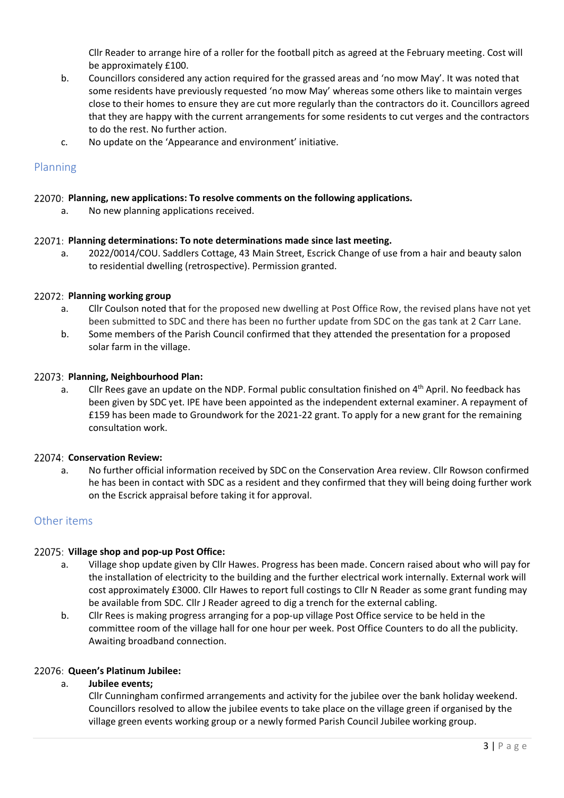Cllr Reader to arrange hire of a roller for the football pitch as agreed at the February meeting. Cost will be approximately £100.

- b. Councillors considered any action required for the grassed areas and 'no mow May'. It was noted that some residents have previously requested 'no mow May' whereas some others like to maintain verges close to their homes to ensure they are cut more regularly than the contractors do it. Councillors agreed that they are happy with the current arrangements for some residents to cut verges and the contractors to do the rest. No further action.
- c. No update on the 'Appearance and environment' initiative.

# Planning

## **Planning, new applications: To resolve comments on the following applications.**

a. No new planning applications received.

## **Planning determinations: To note determinations made since last meeting.**

a. 2022/0014/COU. Saddlers Cottage, 43 Main Street, Escrick Change of use from a hair and beauty salon to residential dwelling (retrospective). Permission granted.

## **Planning working group**

- a. Cllr Coulson noted that for the proposed new dwelling at Post Office Row, the revised plans have not yet been submitted to SDC and there has been no further update from SDC on the gas tank at 2 Carr Lane.
- b. Some members of the Parish Council confirmed that they attended the presentation for a proposed solar farm in the village.

## **Planning, Neighbourhood Plan:**

a. Cllr Rees gave an update on the NDP. Formal public consultation finished on 4<sup>th</sup> April. No feedback has been given by SDC yet. IPE have been appointed as the independent external examiner. A repayment of £159 has been made to Groundwork for the 2021-22 grant. To apply for a new grant for the remaining consultation work.

## **Conservation Review:**

a. No further official information received by SDC on the Conservation Area review. Cllr Rowson confirmed he has been in contact with SDC as a resident and they confirmed that they will being doing further work on the Escrick appraisal before taking it for approval.

# Other items

## **Village shop and pop-up Post Office:**

- a. Village shop update given by Cllr Hawes. Progress has been made. Concern raised about who will pay for the installation of electricity to the building and the further electrical work internally. External work will cost approximately £3000. Cllr Hawes to report full costings to Cllr N Reader as some grant funding may be available from SDC. Cllr J Reader agreed to dig a trench for the external cabling.
- b. Cllr Rees is making progress arranging for a pop-up village Post Office service to be held in the committee room of the village hall for one hour per week. Post Office Counters to do all the publicity. Awaiting broadband connection.

# **Queen's Platinum Jubilee:**

## a. **Jubilee events;**

Cllr Cunningham confirmed arrangements and activity for the jubilee over the bank holiday weekend. Councillors resolved to allow the jubilee events to take place on the village green if organised by the village green events working group or a newly formed Parish Council Jubilee working group.